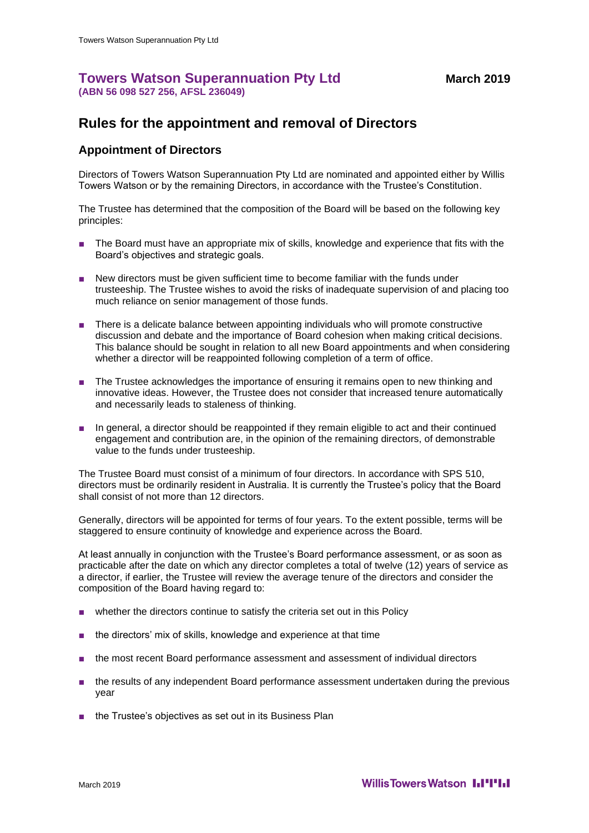## **Towers Watson Superannuation Pty Ltd** March 2019 **(ABN 56 098 527 256, AFSL 236049)**

## **Rules for the appointment and removal of Directors**

## **Appointment of Directors**

Directors of Towers Watson Superannuation Pty Ltd are nominated and appointed either by Willis Towers Watson or by the remaining Directors, in accordance with the Trustee's Constitution.

The Trustee has determined that the composition of the Board will be based on the following key principles:

- The Board must have an appropriate mix of skills, knowledge and experience that fits with the Board's objectives and strategic goals.
- New directors must be given sufficient time to become familiar with the funds under trusteeship. The Trustee wishes to avoid the risks of inadequate supervision of and placing too much reliance on senior management of those funds.
- There is a delicate balance between appointing individuals who will promote constructive discussion and debate and the importance of Board cohesion when making critical decisions. This balance should be sought in relation to all new Board appointments and when considering whether a director will be reappointed following completion of a term of office.
- The Trustee acknowledges the importance of ensuring it remains open to new thinking and innovative ideas. However, the Trustee does not consider that increased tenure automatically and necessarily leads to staleness of thinking.
- In general, a director should be reappointed if they remain eligible to act and their continued engagement and contribution are, in the opinion of the remaining directors, of demonstrable value to the funds under trusteeship.

The Trustee Board must consist of a minimum of four directors. In accordance with SPS 510, directors must be ordinarily resident in Australia. It is currently the Trustee's policy that the Board shall consist of not more than 12 directors.

Generally, directors will be appointed for terms of four years. To the extent possible, terms will be staggered to ensure continuity of knowledge and experience across the Board.

At least annually in conjunction with the Trustee's Board performance assessment, or as soon as practicable after the date on which any director completes a total of twelve (12) years of service as a director, if earlier, the Trustee will review the average tenure of the directors and consider the composition of the Board having regard to:

- whether the directors continue to satisfy the criteria set out in this Policy
- the directors' mix of skills, knowledge and experience at that time
- the most recent Board performance assessment and assessment of individual directors
- the results of any independent Board performance assessment undertaken during the previous year
- the Trustee's objectives as set out in its Business Plan